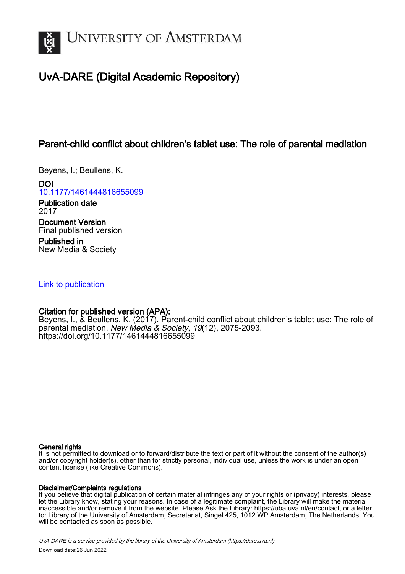

# UvA-DARE (Digital Academic Repository)

# Parent-child conflict about children's tablet use: The role of parental mediation

Beyens, I.; Beullens, K.

DOI [10.1177/1461444816655099](https://doi.org/10.1177/1461444816655099)

Publication date 2017 Document Version Final published version

Published in New Media & Society

## [Link to publication](https://dare.uva.nl/personal/pure/en/publications/parentchild-conflict-about-childrens-tablet-use-the-role-of-parental-mediation(b706ebcd-4299-4564-8907-99e1883a07c1).html)

# Citation for published version (APA):

Beyens, I., & Beullens, K. (2017). Parent-child conflict about children's tablet use: The role of parental mediation. New Media & Society, 19(12), 2075-2093. <https://doi.org/10.1177/1461444816655099>

### General rights

It is not permitted to download or to forward/distribute the text or part of it without the consent of the author(s) and/or copyright holder(s), other than for strictly personal, individual use, unless the work is under an open content license (like Creative Commons).

## Disclaimer/Complaints regulations

If you believe that digital publication of certain material infringes any of your rights or (privacy) interests, please let the Library know, stating your reasons. In case of a legitimate complaint, the Library will make the material inaccessible and/or remove it from the website. Please Ask the Library: https://uba.uva.nl/en/contact, or a letter to: Library of the University of Amsterdam, Secretariat, Singel 425, 1012 WP Amsterdam, The Netherlands. You will be contacted as soon as possible.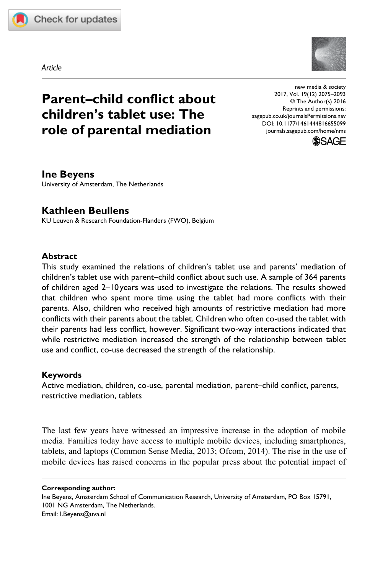

*Article*



# **Parent–child conflict about children's tablet use: The role of parental mediation**

https://doi.org/10.1177/1461444816655099 DOI: 10.1177/1461444816655099 new media & society 2017, Vol. 19(12) 2075–2093 © The Author(s) 2016 Reprints and permissions: [sagepub.co.uk/journalsPermissions.nav](https://uk.sagepub.com/en-gb/journals-permissions) [journals.sagepub.com/home/nms](https://journals.sagepub.com/home/nms)



## **Ine Beyens**

University of Amsterdam, The Netherlands

## **Kathleen Beullens**

KU Leuven & Research Foundation-Flanders (FWO), Belgium

#### **Abstract**

This study examined the relations of children's tablet use and parents' mediation of children's tablet use with parent–child conflict about such use. A sample of 364 parents of children aged 2–10 years was used to investigate the relations. The results showed that children who spent more time using the tablet had more conflicts with their parents. Also, children who received high amounts of restrictive mediation had more conflicts with their parents about the tablet. Children who often co-used the tablet with their parents had less conflict, however. Significant two-way interactions indicated that while restrictive mediation increased the strength of the relationship between tablet use and conflict, co-use decreased the strength of the relationship.

#### **Keywords**

Active mediation, children, co-use, parental mediation, parent–child conflict, parents, restrictive mediation, tablets

The last few years have witnessed an impressive increase in the adoption of mobile media. Families today have access to multiple mobile devices, including smartphones, tablets, and laptops (Common Sense Media, 2013; Ofcom, 2014). The rise in the use of mobile devices has raised concerns in the popular press about the potential impact of

**Corresponding author:**

Ine Beyens, Amsterdam School of Communication Research, University of Amsterdam, PO Box 15791, 1001 NG Amsterdam, The Netherlands. Email: [I.Beyens@uva.nl](mailto:I.Beyens@uva.nl)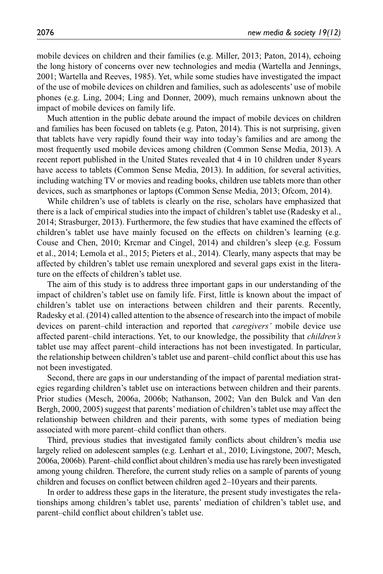mobile devices on children and their families (e.g. Miller, 2013; Paton, 2014), echoing the long history of concerns over new technologies and media (Wartella and Jennings, 2001; Wartella and Reeves, 1985). Yet, while some studies have investigated the impact of the use of mobile devices on children and families, such as adolescents' use of mobile phones (e.g. Ling, 2004; Ling and Donner, 2009), much remains unknown about the impact of mobile devices on family life.

Much attention in the public debate around the impact of mobile devices on children and families has been focused on tablets (e.g. Paton, 2014). This is not surprising, given that tablets have very rapidly found their way into today's families and are among the most frequently used mobile devices among children (Common Sense Media, 2013). A recent report published in the United States revealed that 4 in 10 children under 8years have access to tablets (Common Sense Media, 2013). In addition, for several activities, including watching TV or movies and reading books, children use tablets more than other devices, such as smartphones or laptops (Common Sense Media, 2013; Ofcom, 2014).

While children's use of tablets is clearly on the rise, scholars have emphasized that there is a lack of empirical studies into the impact of children's tablet use (Radesky et al., 2014; Strasburger, 2013). Furthermore, the few studies that have examined the effects of children's tablet use have mainly focused on the effects on children's learning (e.g. Couse and Chen, 2010; Krcmar and Cingel, 2014) and children's sleep (e.g. Fossum et al., 2014; Lemola et al., 2015; Pieters et al., 2014). Clearly, many aspects that may be affected by children's tablet use remain unexplored and several gaps exist in the literature on the effects of children's tablet use.

The aim of this study is to address three important gaps in our understanding of the impact of children's tablet use on family life. First, little is known about the impact of children's tablet use on interactions between children and their parents. Recently, Radesky et al. (2014) called attention to the absence of research into the impact of mobile devices on parent–child interaction and reported that *caregivers'* mobile device use affected parent–child interactions. Yet, to our knowledge, the possibility that *children's* tablet use may affect parent–child interactions has not been investigated. In particular, the relationship between children's tablet use and parent–child conflict about this use has not been investigated.

Second, there are gaps in our understanding of the impact of parental mediation strategies regarding children's tablet use on interactions between children and their parents. Prior studies (Mesch, 2006a, 2006b; Nathanson, 2002; Van den Bulck and Van den Bergh, 2000, 2005) suggest that parents' mediation of children's tablet use may affect the relationship between children and their parents, with some types of mediation being associated with more parent–child conflict than others.

Third, previous studies that investigated family conflicts about children's media use largely relied on adolescent samples (e.g. Lenhart et al., 2010; Livingstone, 2007; Mesch, 2006a, 2006b). Parent–child conflict about children's media use has rarely been investigated among young children. Therefore, the current study relies on a sample of parents of young children and focuses on conflict between children aged 2–10years and their parents.

In order to address these gaps in the literature, the present study investigates the relationships among children's tablet use, parents' mediation of children's tablet use, and parent–child conflict about children's tablet use.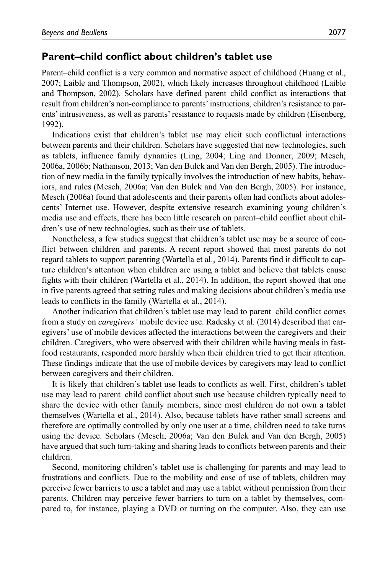#### **Parent–child conflict about children's tablet use**

Parent–child conflict is a very common and normative aspect of childhood (Huang et al., 2007; Laible and Thompson, 2002), which likely increases throughout childhood (Laible and Thompson, 2002). Scholars have defined parent–child conflict as interactions that result from children's non-compliance to parents' instructions, children's resistance to parents' intrusiveness, as well as parents' resistance to requests made by children (Eisenberg, 1992).

Indications exist that children's tablet use may elicit such conflictual interactions between parents and their children. Scholars have suggested that new technologies, such as tablets, influence family dynamics (Ling, 2004; Ling and Donner, 2009; Mesch, 2006a, 2006b; Nathanson, 2013; Van den Bulck and Van den Bergh, 2005). The introduction of new media in the family typically involves the introduction of new habits, behaviors, and rules (Mesch, 2006a; Van den Bulck and Van den Bergh, 2005). For instance, Mesch (2006a) found that adolescents and their parents often had conflicts about adolescents' Internet use. However, despite extensive research examining young children's media use and effects, there has been little research on parent–child conflict about children's use of new technologies, such as their use of tablets.

Nonetheless, a few studies suggest that children's tablet use may be a source of conflict between children and parents. A recent report showed that most parents do not regard tablets to support parenting (Wartella et al., 2014). Parents find it difficult to capture children's attention when children are using a tablet and believe that tablets cause fights with their children (Wartella et al., 2014). In addition, the report showed that one in five parents agreed that setting rules and making decisions about children's media use leads to conflicts in the family (Wartella et al., 2014).

Another indication that children's tablet use may lead to parent–child conflict comes from a study on *caregivers'* mobile device use. Radesky et al. (2014) described that caregivers' use of mobile devices affected the interactions between the caregivers and their children. Caregivers, who were observed with their children while having meals in fastfood restaurants, responded more harshly when their children tried to get their attention. These findings indicate that the use of mobile devices by caregivers may lead to conflict between caregivers and their children.

It is likely that children's tablet use leads to conflicts as well. First, children's tablet use may lead to parent–child conflict about such use because children typically need to share the device with other family members, since most children do not own a tablet themselves (Wartella et al., 2014). Also, because tablets have rather small screens and therefore are optimally controlled by only one user at a time, children need to take turns using the device. Scholars (Mesch, 2006a; Van den Bulck and Van den Bergh, 2005) have argued that such turn-taking and sharing leads to conflicts between parents and their children.

Second, monitoring children's tablet use is challenging for parents and may lead to frustrations and conflicts. Due to the mobility and ease of use of tablets, children may perceive fewer barriers to use a tablet and may use a tablet without permission from their parents. Children may perceive fewer barriers to turn on a tablet by themselves, compared to, for instance, playing a DVD or turning on the computer. Also, they can use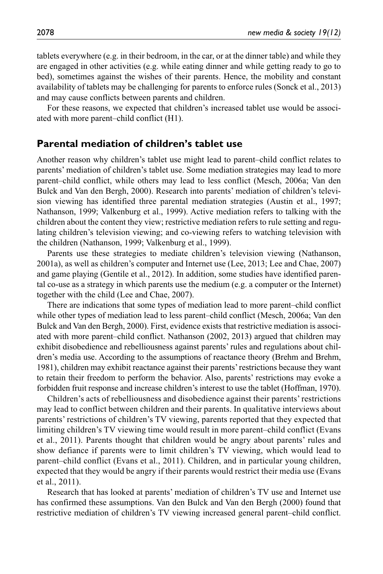tablets everywhere (e.g. in their bedroom, in the car, or at the dinner table) and while they are engaged in other activities (e.g. while eating dinner and while getting ready to go to bed), sometimes against the wishes of their parents. Hence, the mobility and constant availability of tablets may be challenging for parents to enforce rules (Sonck et al., 2013) and may cause conflicts between parents and children.

For these reasons, we expected that children's increased tablet use would be associated with more parent–child conflict (H1).

### **Parental mediation of children's tablet use**

Another reason why children's tablet use might lead to parent–child conflict relates to parents' mediation of children's tablet use. Some mediation strategies may lead to more parent–child conflict, while others may lead to less conflict (Mesch, 2006a; Van den Bulck and Van den Bergh, 2000). Research into parents' mediation of children's television viewing has identified three parental mediation strategies (Austin et al., 1997; Nathanson, 1999; Valkenburg et al., 1999). Active mediation refers to talking with the children about the content they view; restrictive mediation refers to rule setting and regulating children's television viewing; and co-viewing refers to watching television with the children (Nathanson, 1999; Valkenburg et al., 1999).

Parents use these strategies to mediate children's television viewing (Nathanson, 2001a), as well as children's computer and Internet use (Lee, 2013; Lee and Chae, 2007) and game playing (Gentile et al., 2012). In addition, some studies have identified parental co-use as a strategy in which parents use the medium (e.g. a computer or the Internet) together with the child (Lee and Chae, 2007).

There are indications that some types of mediation lead to more parent–child conflict while other types of mediation lead to less parent–child conflict (Mesch, 2006a; Van den Bulck and Van den Bergh, 2000). First, evidence exists that restrictive mediation is associated with more parent–child conflict. Nathanson (2002, 2013) argued that children may exhibit disobedience and rebelliousness against parents' rules and regulations about children's media use. According to the assumptions of reactance theory (Brehm and Brehm, 1981), children may exhibit reactance against their parents' restrictions because they want to retain their freedom to perform the behavior. Also, parents' restrictions may evoke a forbidden fruit response and increase children's interest to use the tablet (Hoffman, 1970).

Children's acts of rebelliousness and disobedience against their parents' restrictions may lead to conflict between children and their parents. In qualitative interviews about parents' restrictions of children's TV viewing, parents reported that they expected that limiting children's TV viewing time would result in more parent–child conflict (Evans et al., 2011). Parents thought that children would be angry about parents' rules and show defiance if parents were to limit children's TV viewing, which would lead to parent–child conflict (Evans et al., 2011). Children, and in particular young children, expected that they would be angry if their parents would restrict their media use (Evans et al., 2011).

Research that has looked at parents' mediation of children's TV use and Internet use has confirmed these assumptions. Van den Bulck and Van den Bergh (2000) found that restrictive mediation of children's TV viewing increased general parent–child conflict.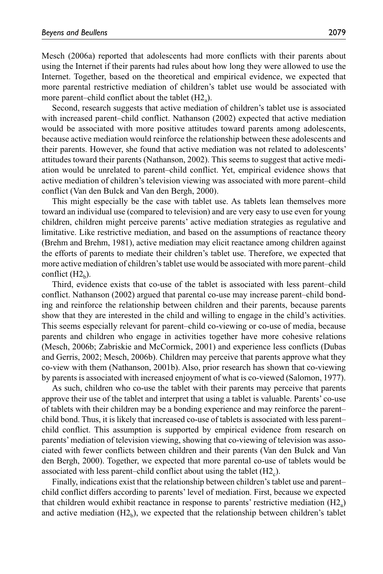Mesch (2006a) reported that adolescents had more conflicts with their parents about using the Internet if their parents had rules about how long they were allowed to use the Internet. Together, based on the theoretical and empirical evidence, we expected that more parental restrictive mediation of children's tablet use would be associated with more parent–child conflict about the tablet  $(H2_a)$ .

Second, research suggests that active mediation of children's tablet use is associated with increased parent–child conflict. Nathanson (2002) expected that active mediation would be associated with more positive attitudes toward parents among adolescents, because active mediation would reinforce the relationship between these adolescents and their parents. However, she found that active mediation was not related to adolescents' attitudes toward their parents (Nathanson, 2002). This seems to suggest that active mediation would be unrelated to parent–child conflict. Yet, empirical evidence shows that active mediation of children's television viewing was associated with more parent–child conflict (Van den Bulck and Van den Bergh, 2000).

This might especially be the case with tablet use. As tablets lean themselves more toward an individual use (compared to television) and are very easy to use even for young children, children might perceive parents' active mediation strategies as regulative and limitative. Like restrictive mediation, and based on the assumptions of reactance theory (Brehm and Brehm, 1981), active mediation may elicit reactance among children against the efforts of parents to mediate their children's tablet use. Therefore, we expected that more active mediation of children's tablet use would be associated with more parent–child conflict  $(H2_h)$ .

Third, evidence exists that co-use of the tablet is associated with less parent–child conflict. Nathanson (2002) argued that parental co-use may increase parent–child bonding and reinforce the relationship between children and their parents, because parents show that they are interested in the child and willing to engage in the child's activities. This seems especially relevant for parent–child co-viewing or co-use of media, because parents and children who engage in activities together have more cohesive relations (Mesch, 2006b; Zabriskie and McCormick, 2001) and experience less conflicts (Dubas and Gerris, 2002; Mesch, 2006b). Children may perceive that parents approve what they co-view with them (Nathanson, 2001b). Also, prior research has shown that co-viewing by parents is associated with increased enjoyment of what is co-viewed (Salomon, 1977).

As such, children who co-use the tablet with their parents may perceive that parents approve their use of the tablet and interpret that using a tablet is valuable. Parents' co-use of tablets with their children may be a bonding experience and may reinforce the parent– child bond. Thus, it is likely that increased co-use of tablets is associated with less parent– child conflict. This assumption is supported by empirical evidence from research on parents' mediation of television viewing, showing that co-viewing of television was associated with fewer conflicts between children and their parents (Van den Bulck and Van den Bergh, 2000). Together, we expected that more parental co-use of tablets would be associated with less parent–child conflict about using the tablet  $(H2<sub>c</sub>)$ .

Finally, indications exist that the relationship between children's tablet use and parent– child conflict differs according to parents' level of mediation. First, because we expected that children would exhibit reactance in response to parents' restrictive mediation  $(H_2)$ and active mediation  $(H_2)$ , we expected that the relationship between children's tablet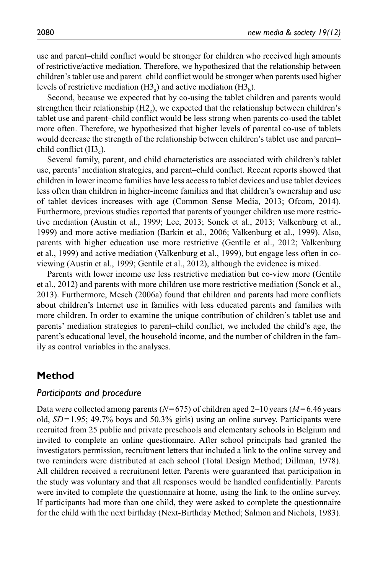use and parent–child conflict would be stronger for children who received high amounts of restrictive/active mediation. Therefore, we hypothesized that the relationship between children's tablet use and parent–child conflict would be stronger when parents used higher levels of restrictive mediation  $(H3_a)$  and active mediation  $(H3_b)$ .

Second, because we expected that by co-using the tablet children and parents would strengthen their relationship  $(H_2)$ , we expected that the relationship between children's tablet use and parent–child conflict would be less strong when parents co-used the tablet more often. Therefore, we hypothesized that higher levels of parental co-use of tablets would decrease the strength of the relationship between children's tablet use and parent– child conflict  $(H3<sub>c</sub>)$ .

Several family, parent, and child characteristics are associated with children's tablet use, parents' mediation strategies, and parent–child conflict. Recent reports showed that children in lower income families have less access to tablet devices and use tablet devices less often than children in higher-income families and that children's ownership and use of tablet devices increases with age (Common Sense Media, 2013; Ofcom, 2014). Furthermore, previous studies reported that parents of younger children use more restrictive mediation (Austin et al., 1999; Lee, 2013; Sonck et al., 2013; Valkenburg et al., 1999) and more active mediation (Barkin et al., 2006; Valkenburg et al., 1999). Also, parents with higher education use more restrictive (Gentile et al., 2012; Valkenburg et al., 1999) and active mediation (Valkenburg et al., 1999), but engage less often in coviewing (Austin et al., 1999; Gentile et al., 2012), although the evidence is mixed.

Parents with lower income use less restrictive mediation but co-view more (Gentile et al., 2012) and parents with more children use more restrictive mediation (Sonck et al., 2013). Furthermore, Mesch (2006a) found that children and parents had more conflicts about children's Internet use in families with less educated parents and families with more children. In order to examine the unique contribution of children's tablet use and parents' mediation strategies to parent–child conflict, we included the child's age, the parent's educational level, the household income, and the number of children in the family as control variables in the analyses.

## **Method**

#### *Participants and procedure*

Data were collected among parents (*N*=675) of children aged 2–10 years (*M*=6.46years old, *SD*=1.95; 49.7% boys and 50.3% girls) using an online survey. Participants were recruited from 25 public and private preschools and elementary schools in Belgium and invited to complete an online questionnaire. After school principals had granted the investigators permission, recruitment letters that included a link to the online survey and two reminders were distributed at each school (Total Design Method; Dillman, 1978). All children received a recruitment letter. Parents were guaranteed that participation in the study was voluntary and that all responses would be handled confidentially. Parents were invited to complete the questionnaire at home, using the link to the online survey. If participants had more than one child, they were asked to complete the questionnaire for the child with the next birthday (Next-Birthday Method; Salmon and Nichols, 1983).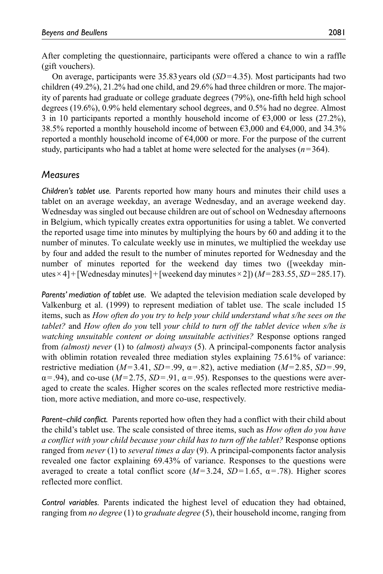After completing the questionnaire, participants were offered a chance to win a raffle (gift vouchers).

On average, participants were 35.83years old (*SD*=4.35). Most participants had two children (49.2%), 21.2% had one child, and 29.6% had three children or more. The majority of parents had graduate or college graduate degrees (79%), one-fifth held high school degrees (19.6%), 0.9% held elementary school degrees, and 0.5% had no degree. Almost 3 in 10 participants reported a monthly household income of  $\epsilon$ 3,000 or less (27.2%), 38.5% reported a monthly household income of between €3,000 and €4,000, and 34.3% reported a monthly household income of €4,000 or more. For the purpose of the current study, participants who had a tablet at home were selected for the analyses  $(n=364)$ .

## *Measures*

*Children's tablet use.* Parents reported how many hours and minutes their child uses a tablet on an average weekday, an average Wednesday, and an average weekend day. Wednesday was singled out because children are out of school on Wednesday afternoons in Belgium, which typically creates extra opportunities for using a tablet. We converted the reported usage time into minutes by multiplying the hours by 60 and adding it to the number of minutes. To calculate weekly use in minutes, we multiplied the weekday use by four and added the result to the number of minutes reported for Wednesday and the number of minutes reported for the weekend day times two ([weekday minutes  $\times$  4] + [Wednesday minutes] + [weekend day minutes  $\times$  2]) ( $M$ =283.55, *SD*=285.17).

*Parents' mediation of tablet use.* We adapted the television mediation scale developed by Valkenburg et al. (1999) to represent mediation of tablet use. The scale included 15 items, such as *How often do you try to help your child understand what s/he sees on the tablet?* and *How often do you* tell *your child to turn off the tablet device when s/he is watching unsuitable content or doing unsuitable activities?* Response options ranged from *(almost) never* (1) to *(almost) always* (5). A principal-components factor analysis with oblimin rotation revealed three mediation styles explaining 75.61% of variance: restrictive mediation ( $M=3.41$ ,  $SD=.99$ ,  $\alpha=.82$ ), active mediation ( $M=2.85$ ,  $SD=.99$ ,  $\alpha$ =.94), and co-use ( $M$ =2.75,  $SD$ =.91,  $\alpha$ =.95). Responses to the questions were averaged to create the scales. Higher scores on the scales reflected more restrictive mediation, more active mediation, and more co-use, respectively.

*Parent–child conflict.* Parents reported how often they had a conflict with their child about the child's tablet use. The scale consisted of three items, such as *How often do you have a conflict with your child because your child has to turn off the tablet?* Response options ranged from *never* (1) to *several times a day* (9). A principal-components factor analysis revealed one factor explaining 69.43% of variance. Responses to the questions were averaged to create a total conflict score ( $M=3.24$ ,  $SD=1.65$ ,  $\alpha=.78$ ). Higher scores reflected more conflict.

*Control variables.* Parents indicated the highest level of education they had obtained, ranging from *no degree* (1) to *graduate degree* (5), their household income, ranging from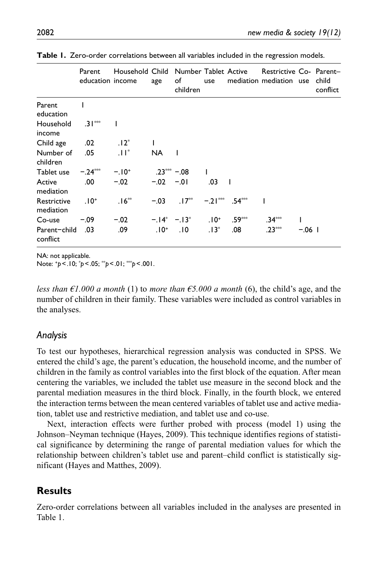|                          | Parent<br>education income |         | age              | of<br>children |         |                              | Household Child Number Tablet Active Restrictive Co- Parent-<br>use mediation mediation use |          | child<br>conflict |
|--------------------------|----------------------------|---------|------------------|----------------|---------|------------------------------|---------------------------------------------------------------------------------------------|----------|-------------------|
| Parent<br>education      |                            |         |                  |                |         |                              |                                                                                             |          |                   |
| Household<br>income      | $.31***$                   |         |                  |                |         |                              |                                                                                             |          |                   |
| Child age                | .02                        | $.12^*$ |                  |                |         |                              |                                                                                             |          |                   |
| Number of<br>children    | .05                        | $.11^*$ | NA.              | - 1            |         |                              |                                                                                             |          |                   |
| Tablet use               | $-.24***$                  | $-.10+$ | $.23*** - .08$   |                |         |                              |                                                                                             |          |                   |
| Active<br>mediation      | .00                        | $-.02$  | $-.02 - .01$     |                | .03     |                              |                                                                                             |          |                   |
| Restrictive<br>mediation | $.10+$                     | $.16**$ | $-.03$           | $.17**$        |         | $-.21***$ .54 <sup>***</sup> |                                                                                             |          |                   |
| Co-use                   | $-.09$                     | $-.02$  | $-.14^* - .13^*$ |                | $.10+$  | $.59***$                     | $.34***$                                                                                    |          |                   |
| Parent-child<br>conflict | .03                        | .09     | $.10+$           | .10            | $.13^*$ | .08                          | $.23***$                                                                                    | $-.06$ 1 |                   |

**Table 1.** Zero-order correlations between all variables included in the regression models.

NA: not applicable.

Note: +*p*<.10; \* *p*<.05; \*\**p*<.01; \*\*\**p*<.001.

*less than €1.000 a month* (1) to *more than €5.000 a month* (6), the child's age, and the number of children in their family. These variables were included as control variables in the analyses.

## *Analysis*

To test our hypotheses, hierarchical regression analysis was conducted in SPSS. We entered the child's age, the parent's education, the household income, and the number of children in the family as control variables into the first block of the equation. After mean centering the variables, we included the tablet use measure in the second block and the parental mediation measures in the third block. Finally, in the fourth block, we entered the interaction terms between the mean centered variables of tablet use and active mediation, tablet use and restrictive mediation, and tablet use and co-use.

Next, interaction effects were further probed with process (model 1) using the Johnson–Neyman technique (Hayes, 2009). This technique identifies regions of statistical significance by determining the range of parental mediation values for which the relationship between children's tablet use and parent–child conflict is statistically significant (Hayes and Matthes, 2009).

## **Results**

Zero-order correlations between all variables included in the analyses are presented in Table 1.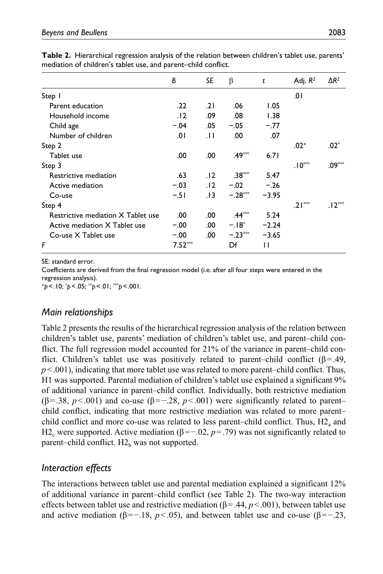|                                    | В         | SE   | β         | t       | Adj. $R^2$ | $\Delta R^2$ |
|------------------------------------|-----------|------|-----------|---------|------------|--------------|
| Step I                             |           |      |           |         | 0١.        |              |
| Parent education                   | .22       | .21  | .06       | 1.05    |            |              |
| Household income                   | .12       | .09  | .08       | 1.38    |            |              |
| Child age                          | $-.04$    | .05  | $-.05$    | $-.77$  |            |              |
| Number of children                 | .01       | .H   | .00       | .07     |            |              |
| Step 2                             |           |      |           |         | $.02^{+}$  | $.02*$       |
| Tablet use                         | .00       | .00  | $.49***$  | 6.71    |            |              |
| Step 3                             |           |      |           |         | $.10***$   | .09 ***      |
| Restrictive mediation              | .63       | .12  | $.38***$  | 5.47    |            |              |
| Active mediation                   | $-.03$    | .12  | $-.02$    | $-.26$  |            |              |
| Co-use                             | $-.51$    | . 13 | $-.28***$ | $-3.95$ |            |              |
| Step 4                             |           |      |           |         | $.21***$   | $.12***$     |
| Restrictive mediation X Tablet use | .00       | .00  | $.44***$  | 5.24    |            |              |
| Active mediation X Tablet use      | $-.00$    | .00  | $-.18*$   | $-2.24$ |            |              |
| Co-use X Tablet use                | $-.00$    | .00  | $-.23***$ | $-3.65$ |            |              |
| F                                  | $7.52***$ |      | Df        | П       |            |              |

**Table 2.** Hierarchical regression analysis of the relation between children's tablet use, parents' mediation of children's tablet use, and parent–child conflict.

SE: standard error.

Coefficients are derived from the final regression model (i.e. after all four steps were entered in the regression analysis).

<sup>+</sup>*p*<.10; \* *p*<.05; \*\**p*<.01; \*\*\**p*<.001.

## *Main relationships*

Table 2 presents the results of the hierarchical regression analysis of the relation between children's tablet use, parents' mediation of children's tablet use, and parent–child conflict. The full regression model accounted for 21% of the variance in parent–child conflict. Children's tablet use was positively related to parent–child conflict ( $\beta$ =.49, *p*<.001), indicating that more tablet use was related to more parent–child conflict. Thus, H1 was supported. Parental mediation of children's tablet use explained a significant 9% of additional variance in parent–child conflict. Individually, both restrictive mediation  $(β=.38, p<.001)$  and co-use  $(β=-.28, p<.001)$  were significantly related to parent– child conflict, indicating that more restrictive mediation was related to more parent– child conflict and more co-use was related to less parent–child conflict. Thus,  $H2_a$  and H<sub>2</sub><sub>c</sub> were supported. Active mediation (β=-.02, *p*=.79) was not significantly related to parent–child conflict.  $H2<sub>b</sub>$  was not supported.

## *Interaction effects*

The interactions between tablet use and parental mediation explained a significant 12% of additional variance in parent–child conflict (see Table 2). The two-way interaction effects between tablet use and restrictive mediation (β=.44, *p*<.001), between tablet use and active mediation ( $\beta = -18$ ,  $p < .05$ ), and between tablet use and co-use ( $\beta = -0.23$ ,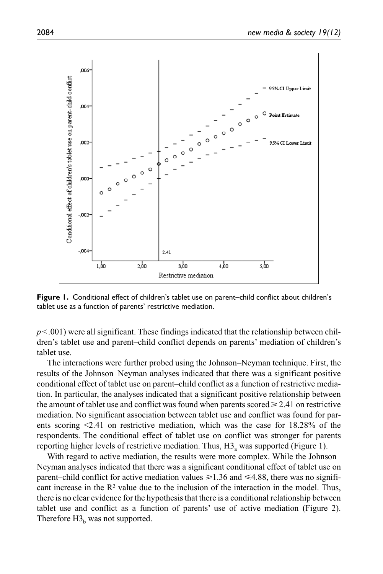

**Figure 1.** Conditional effect of children's tablet use on parent–child conflict about children's tablet use as a function of parents' restrictive mediation.

 $p<0.001$ ) were all significant. These findings indicated that the relationship between children's tablet use and parent–child conflict depends on parents' mediation of children's tablet use.

The interactions were further probed using the Johnson–Neyman technique. First, the results of the Johnson–Neyman analyses indicated that there was a significant positive conditional effect of tablet use on parent–child conflict as a function of restrictive mediation. In particular, the analyses indicated that a significant positive relationship between the amount of tablet use and conflict was found when parents scored $\geq 2.41$  on restrictive mediation. No significant association between tablet use and conflict was found for parents scoring <2.41 on restrictive mediation, which was the case for 18.28% of the respondents. The conditional effect of tablet use on conflict was stronger for parents reporting higher levels of restrictive mediation. Thus,  $H3_a$  was supported (Figure 1).

With regard to active mediation, the results were more complex. While the Johnson– Neyman analyses indicated that there was a significant conditional effect of tablet use on parent–child conflict for active mediation values  $\geq 1.36$  and  $\leq 4.88$ , there was no significant increase in the  $R^2$  value due to the inclusion of the interaction in the model. Thus, there is no clear evidence for the hypothesis that there is a conditional relationship between tablet use and conflict as a function of parents' use of active mediation (Figure 2). Therefore  $H3<sub>b</sub>$  was not supported.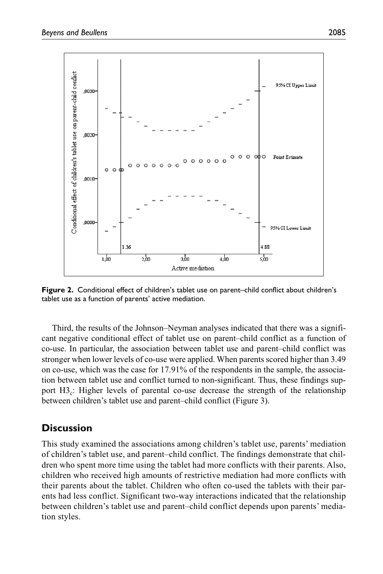

**Figure 2.** Conditional effect of children's tablet use on parent–child conflict about children's tablet use as a function of parents' active mediation.

Third, the results of the Johnson–Neyman analyses indicated that there was a significant negative conditional effect of tablet use on parent–child conflict as a function of co-use. In particular, the association between tablet use and parent–child conflict was stronger when lower levels of co-use were applied. When parents scored higher than 3.49 on co-use, which was the case for 17.91% of the respondents in the sample, the association between tablet use and conflict turned to non-significant. Thus, these findings support  $H3$ .: Higher levels of parental co-use decrease the strength of the relationship between children's tablet use and parent–child conflict (Figure 3).

## **Discussion**

This study examined the associations among children's tablet use, parents' mediation of children's tablet use, and parent–child conflict. The findings demonstrate that children who spent more time using the tablet had more conflicts with their parents. Also, children who received high amounts of restrictive mediation had more conflicts with their parents about the tablet. Children who often co-used the tablets with their parents had less conflict. Significant two-way interactions indicated that the relationship between children's tablet use and parent–child conflict depends upon parents' mediation styles.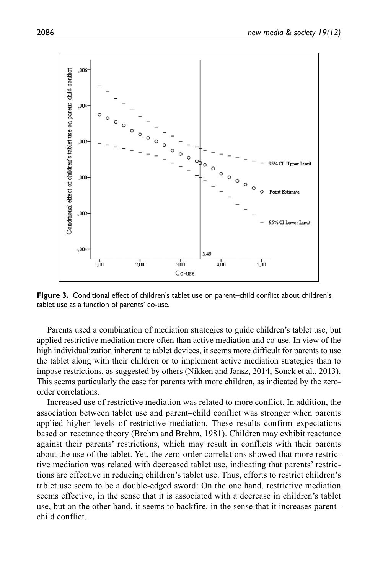

**Figure 3.** Conditional effect of children's tablet use on parent–child conflict about children's tablet use as a function of parents' co-use.

Parents used a combination of mediation strategies to guide children's tablet use, but applied restrictive mediation more often than active mediation and co-use. In view of the high individualization inherent to tablet devices, it seems more difficult for parents to use the tablet along with their children or to implement active mediation strategies than to impose restrictions, as suggested by others (Nikken and Jansz, 2014; Sonck et al., 2013). This seems particularly the case for parents with more children, as indicated by the zeroorder correlations.

Increased use of restrictive mediation was related to more conflict. In addition, the association between tablet use and parent–child conflict was stronger when parents applied higher levels of restrictive mediation. These results confirm expectations based on reactance theory (Brehm and Brehm, 1981). Children may exhibit reactance against their parents' restrictions, which may result in conflicts with their parents about the use of the tablet. Yet, the zero-order correlations showed that more restrictive mediation was related with decreased tablet use, indicating that parents' restrictions are effective in reducing children's tablet use. Thus, efforts to restrict children's tablet use seem to be a double-edged sword: On the one hand, restrictive mediation seems effective, in the sense that it is associated with a decrease in children's tablet use, but on the other hand, it seems to backfire, in the sense that it increases parent– child conflict.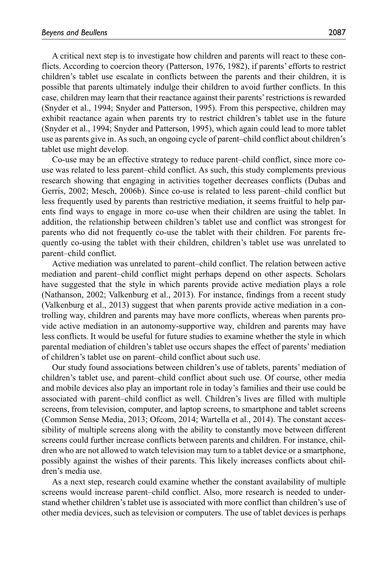A critical next step is to investigate how children and parents will react to these conflicts. According to coercion theory (Patterson, 1976, 1982), if parents' efforts to restrict children's tablet use escalate in conflicts between the parents and their children, it is possible that parents ultimately indulge their children to avoid further conflicts. In this case, children may learn that their reactance against their parents' restrictions is rewarded (Snyder et al., 1994; Snyder and Patterson, 1995). From this perspective, children may exhibit reactance again when parents try to restrict children's tablet use in the future (Snyder et al., 1994; Snyder and Patterson, 1995), which again could lead to more tablet use as parents give in. As such, an ongoing cycle of parent–child conflict about children's tablet use might develop.

Co-use may be an effective strategy to reduce parent–child conflict, since more couse was related to less parent–child conflict. As such, this study complements previous research showing that engaging in activities together decreases conflicts (Dubas and Gerris, 2002; Mesch, 2006b). Since co-use is related to less parent–child conflict but less frequently used by parents than restrictive mediation, it seems fruitful to help parents find ways to engage in more co-use when their children are using the tablet. In addition, the relationship between children's tablet use and conflict was strongest for parents who did not frequently co-use the tablet with their children. For parents frequently co-using the tablet with their children, children's tablet use was unrelated to parent–child conflict.

Active mediation was unrelated to parent–child conflict. The relation between active mediation and parent–child conflict might perhaps depend on other aspects. Scholars have suggested that the style in which parents provide active mediation plays a role (Nathanson, 2002; Valkenburg et al., 2013). For instance, findings from a recent study (Valkenburg et al., 2013) suggest that when parents provide active mediation in a controlling way, children and parents may have more conflicts, whereas when parents provide active mediation in an autonomy-supportive way, children and parents may have less conflicts. It would be useful for future studies to examine whether the style in which parental mediation of children's tablet use occurs shapes the effect of parents' mediation of children's tablet use on parent–child conflict about such use.

Our study found associations between children's use of tablets, parents' mediation of children's tablet use, and parent–child conflict about such use. Of course, other media and mobile devices also play an important role in today's families and their use could be associated with parent–child conflict as well. Children's lives are filled with multiple screens, from television, computer, and laptop screens, to smartphone and tablet screens (Common Sense Media, 2013; Ofcom, 2014; Wartella et al., 2014). The constant accessibility of multiple screens along with the ability to constantly move between different screens could further increase conflicts between parents and children. For instance, children who are not allowed to watch television may turn to a tablet device or a smartphone, possibly against the wishes of their parents. This likely increases conflicts about children's media use.

As a next step, research could examine whether the constant availability of multiple screens would increase parent–child conflict. Also, more research is needed to understand whether children's tablet use is associated with more conflict than children's use of other media devices, such as television or computers. The use of tablet devices is perhaps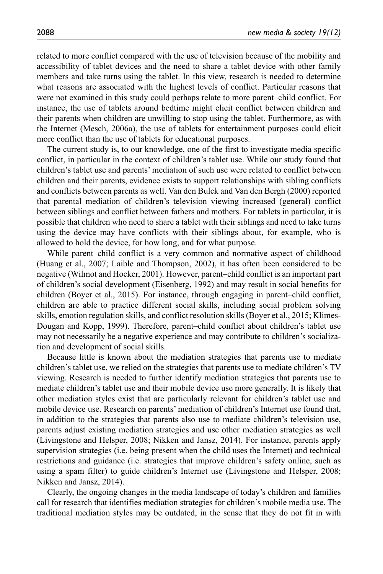related to more conflict compared with the use of television because of the mobility and accessibility of tablet devices and the need to share a tablet device with other family members and take turns using the tablet. In this view, research is needed to determine what reasons are associated with the highest levels of conflict. Particular reasons that were not examined in this study could perhaps relate to more parent–child conflict. For instance, the use of tablets around bedtime might elicit conflict between children and their parents when children are unwilling to stop using the tablet. Furthermore, as with the Internet (Mesch, 2006a), the use of tablets for entertainment purposes could elicit more conflict than the use of tablets for educational purposes.

The current study is, to our knowledge, one of the first to investigate media specific conflict, in particular in the context of children's tablet use. While our study found that children's tablet use and parents' mediation of such use were related to conflict between children and their parents, evidence exists to support relationships with sibling conflicts and conflicts between parents as well. Van den Bulck and Van den Bergh (2000) reported that parental mediation of children's television viewing increased (general) conflict between siblings and conflict between fathers and mothers. For tablets in particular, it is possible that children who need to share a tablet with their siblings and need to take turns using the device may have conflicts with their siblings about, for example, who is allowed to hold the device, for how long, and for what purpose.

While parent–child conflict is a very common and normative aspect of childhood (Huang et al., 2007; Laible and Thompson, 2002), it has often been considered to be negative (Wilmot and Hocker, 2001). However, parent–child conflict is an important part of children's social development (Eisenberg, 1992) and may result in social benefits for children (Boyer et al., 2015). For instance, through engaging in parent–child conflict, children are able to practice different social skills, including social problem solving skills, emotion regulation skills, and conflict resolution skills (Boyer et al., 2015; Klimes-Dougan and Kopp, 1999). Therefore, parent–child conflict about children's tablet use may not necessarily be a negative experience and may contribute to children's socialization and development of social skills.

Because little is known about the mediation strategies that parents use to mediate children's tablet use, we relied on the strategies that parents use to mediate children's TV viewing. Research is needed to further identify mediation strategies that parents use to mediate children's tablet use and their mobile device use more generally. It is likely that other mediation styles exist that are particularly relevant for children's tablet use and mobile device use. Research on parents' mediation of children's Internet use found that, in addition to the strategies that parents also use to mediate children's television use, parents adjust existing mediation strategies and use other mediation strategies as well (Livingstone and Helsper, 2008; Nikken and Jansz, 2014). For instance, parents apply supervision strategies (i.e. being present when the child uses the Internet) and technical restrictions and guidance (i.e. strategies that improve children's safety online, such as using a spam filter) to guide children's Internet use (Livingstone and Helsper, 2008; Nikken and Jansz, 2014).

Clearly, the ongoing changes in the media landscape of today's children and families call for research that identifies mediation strategies for children's mobile media use. The traditional mediation styles may be outdated, in the sense that they do not fit in with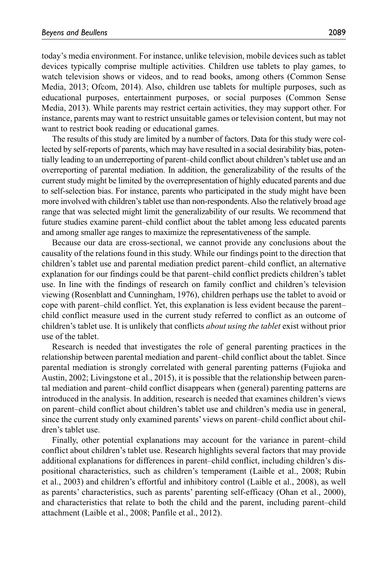today's media environment. For instance, unlike television, mobile devices such as tablet devices typically comprise multiple activities. Children use tablets to play games, to watch television shows or videos, and to read books, among others (Common Sense Media, 2013; Ofcom, 2014). Also, children use tablets for multiple purposes, such as educational purposes, entertainment purposes, or social purposes (Common Sense Media, 2013). While parents may restrict certain activities, they may support other. For instance, parents may want to restrict unsuitable games or television content, but may not want to restrict book reading or educational games.

The results of this study are limited by a number of factors. Data for this study were collected by self-reports of parents, which may have resulted in a social desirability bias, potentially leading to an underreporting of parent–child conflict about children's tablet use and an overreporting of parental mediation. In addition, the generalizability of the results of the current study might be limited by the overrepresentation of highly educated parents and due to self-selection bias. For instance, parents who participated in the study might have been more involved with children's tablet use than non-respondents. Also the relatively broad age range that was selected might limit the generalizability of our results. We recommend that future studies examine parent–child conflict about the tablet among less educated parents and among smaller age ranges to maximize the representativeness of the sample.

Because our data are cross-sectional, we cannot provide any conclusions about the causality of the relations found in this study. While our findings point to the direction that children's tablet use and parental mediation predict parent–child conflict, an alternative explanation for our findings could be that parent–child conflict predicts children's tablet use. In line with the findings of research on family conflict and children's television viewing (Rosenblatt and Cunningham, 1976), children perhaps use the tablet to avoid or cope with parent–child conflict. Yet, this explanation is less evident because the parent– child conflict measure used in the current study referred to conflict as an outcome of children's tablet use. It is unlikely that conflicts *about using the tablet* exist without prior use of the tablet.

Research is needed that investigates the role of general parenting practices in the relationship between parental mediation and parent–child conflict about the tablet. Since parental mediation is strongly correlated with general parenting patterns (Fujioka and Austin, 2002; Livingstone et al., 2015), it is possible that the relationship between parental mediation and parent–child conflict disappears when (general) parenting patterns are introduced in the analysis. In addition, research is needed that examines children's views on parent–child conflict about children's tablet use and children's media use in general, since the current study only examined parents' views on parent–child conflict about children's tablet use.

Finally, other potential explanations may account for the variance in parent–child conflict about children's tablet use. Research highlights several factors that may provide additional explanations for differences in parent–child conflict, including children's dispositional characteristics, such as children's temperament (Laible et al., 2008; Rubin et al., 2003) and children's effortful and inhibitory control (Laible et al., 2008), as well as parents' characteristics, such as parents' parenting self-efficacy (Ohan et al., 2000), and characteristics that relate to both the child and the parent, including parent–child attachment (Laible et al., 2008; Panfile et al., 2012).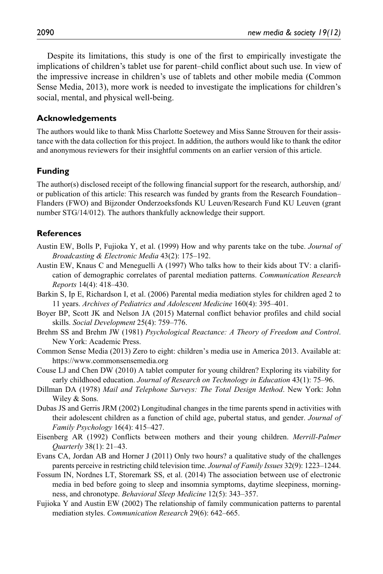Despite its limitations, this study is one of the first to empirically investigate the implications of children's tablet use for parent–child conflict about such use. In view of the impressive increase in children's use of tablets and other mobile media (Common Sense Media, 2013), more work is needed to investigate the implications for children's social, mental, and physical well-being.

#### **Acknowledgements**

The authors would like to thank Miss Charlotte Soetewey and Miss Sanne Strouven for their assistance with the data collection for this project. In addition, the authors would like to thank the editor and anonymous reviewers for their insightful comments on an earlier version of this article.

#### **Funding**

The author(s) disclosed receipt of the following financial support for the research, authorship, and/ or publication of this article: This research was funded by grants from the Research Foundation– Flanders (FWO) and Bijzonder Onderzoeksfonds KU Leuven/Research Fund KU Leuven (grant number STG/14/012). The authors thankfully acknowledge their support.

#### **References**

- Austin EW, Bolls P, Fujioka Y, et al. (1999) How and why parents take on the tube. *Journal of Broadcasting & Electronic Media* 43(2): 175–192.
- Austin EW, Knaus C and Meneguelli A (1997) Who talks how to their kids about TV: a clarification of demographic correlates of parental mediation patterns. *Communication Research Reports* 14(4): 418–430.
- Barkin S, Ip E, Richardson I, et al. (2006) Parental media mediation styles for children aged 2 to 11 years. *Archives of Pediatrics and Adolescent Medicine* 160(4): 395–401.
- Boyer BP, Scott JK and Nelson JA (2015) Maternal conflict behavior profiles and child social skills. *Social Development* 25(4): 759–776.
- Brehm SS and Brehm JW (1981) *Psychological Reactance: A Theory of Freedom and Control*. New York: Academic Press.
- Common Sense Media (2013) Zero to eight: children's media use in America 2013. Available at: <https://www.commonsensemedia.org>
- Couse LJ and Chen DW (2010) A tablet computer for young children? Exploring its viability for early childhood education. *Journal of Research on Technology in Education* 43(1): 75–96.
- Dillman DA (1978) *Mail and Telephone Surveys: The Total Design Method*. New York: John Wiley & Sons.
- Dubas JS and Gerris JRM (2002) Longitudinal changes in the time parents spend in activities with their adolescent children as a function of child age, pubertal status, and gender. *Journal of Family Psychology* 16(4): 415–427.
- Eisenberg AR (1992) Conflicts between mothers and their young children. *Merrill-Palmer Quarterly* 38(1): 21–43.
- Evans CA, Jordan AB and Horner J (2011) Only two hours? a qualitative study of the challenges parents perceive in restricting child television time. *Journal of Family Issues* 32(9): 1223–1244.
- Fossum IN, Nordnes LT, Storemark SS, et al. (2014) The association between use of electronic media in bed before going to sleep and insomnia symptoms, daytime sleepiness, morningness, and chronotype. *Behavioral Sleep Medicine* 12(5): 343–357.
- Fujioka Y and Austin EW (2002) The relationship of family communication patterns to parental mediation styles. *Communication Research* 29(6): 642–665.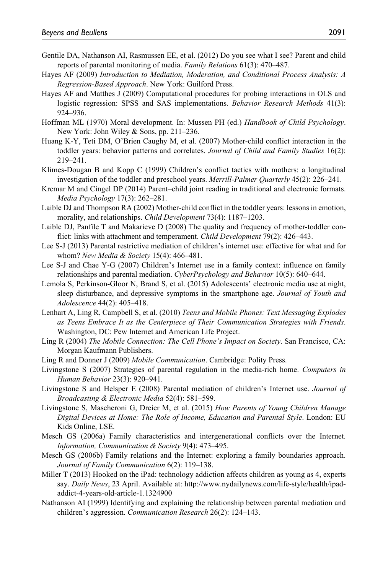- Gentile DA, Nathanson AI, Rasmussen EE, et al. (2012) Do you see what I see? Parent and child reports of parental monitoring of media. *Family Relations* 61(3): 470–487.
- Hayes AF (2009) *Introduction to Mediation, Moderation, and Conditional Process Analysis: A Regression-Based Approach*. New York: Guilford Press.
- Hayes AF and Matthes J (2009) Computational procedures for probing interactions in OLS and logistic regression: SPSS and SAS implementations. *Behavior Research Methods* 41(3): 924–936.
- Hoffman ML (1970) Moral development. In: Mussen PH (ed.) *Handbook of Child Psychology*. New York: John Wiley & Sons, pp. 211–236.
- Huang K-Y, Teti DM, O'Brien Caughy M, et al. (2007) Mother-child conflict interaction in the toddler years: behavior patterns and correlates. *Journal of Child and Family Studies* 16(2): 219–241.
- Klimes-Dougan B and Kopp C (1999) Children's conflict tactics with mothers: a longitudinal investigation of the toddler and preschool years. *Merrill-Palmer Quarterly* 45(2): 226–241.
- Krcmar M and Cingel DP (2014) Parent–child joint reading in traditional and electronic formats. *Media Psychology* 17(3): 262–281.
- Laible DJ and Thompson RA (2002) Mother-child conflict in the toddler years: lessons in emotion, morality, and relationships. *Child Development* 73(4): 1187–1203.
- Laible DJ, Panfile T and Makarieve D (2008) The quality and frequency of mother-toddler conflict: links with attachment and temperament. *Child Development* 79(2): 426–443.
- Lee S-J (2013) Parental restrictive mediation of children's internet use: effective for what and for whom? *New Media & Society* 15(4): 466–481.
- Lee S-J and Chae Y-G (2007) Children's Internet use in a family context: influence on family relationships and parental mediation. *CyberPsychology and Behavior* 10(5): 640–644.
- Lemola S, Perkinson-Gloor N, Brand S, et al. (2015) Adolescents' electronic media use at night, sleep disturbance, and depressive symptoms in the smartphone age. *Journal of Youth and Adolescence* 44(2): 405–418.
- Lenhart A, Ling R, Campbell S, et al. (2010) *Teens and Mobile Phones: Text Messaging Explodes as Teens Embrace It as the Centerpiece of Their Communication Strategies with Friends*. Washington, DC: Pew Internet and American Life Project.
- Ling R (2004) *The Mobile Connection: The Cell Phone's Impact on Society*. San Francisco, CA: Morgan Kaufmann Publishers.
- Ling R and Donner J (2009) *Mobile Communication*. Cambridge: Polity Press.
- Livingstone S (2007) Strategies of parental regulation in the media-rich home. *Computers in Human Behavior* 23(3): 920–941.
- Livingstone S and Helsper E (2008) Parental mediation of children's Internet use. *Journal of Broadcasting & Electronic Media* 52(4): 581–599.
- Livingstone S, Mascheroni G, Dreier M, et al. (2015) *How Parents of Young Children Manage Digital Devices at Home: The Role of Income, Education and Parental Style*. London: EU Kids Online, LSE.
- Mesch GS (2006a) Family characteristics and intergenerational conflicts over the Internet. *Information, Communication & Society* 9(4): 473–495.
- Mesch GS (2006b) Family relations and the Internet: exploring a family boundaries approach. *Journal of Family Communication* 6(2): 119–138.
- Miller T (2013) Hooked on the iPad: technology addiction affects children as young as 4, experts say. *Daily News*, 23 April. Available at: [http://www.nydailynews.com/life-style/health/ipad](http://www.nydailynews.com/life-style/health/ipad-addict-4-years-old-article-)[addict-4-years-old-article-1](http://www.nydailynews.com/life-style/health/ipad-addict-4-years-old-article-).1324900
- Nathanson AI (1999) Identifying and explaining the relationship between parental mediation and children's aggression. *Communication Research* 26(2): 124–143.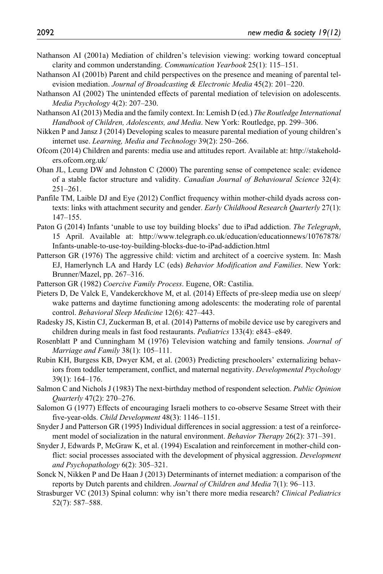Nathanson AI (2001a) Mediation of children's television viewing: working toward conceptual clarity and common understanding. *Communication Yearbook* 25(1): 115–151.

- Nathanson AI (2001b) Parent and child perspectives on the presence and meaning of parental television mediation. *Journal of Broadcasting & Electronic Media* 45(2): 201–220.
- Nathanson AI (2002) The unintended effects of parental mediation of television on adolescents. *Media Psychology* 4(2): 207–230.
- Nathanson AI (2013) Media and the family context. In: Lemish D (ed.) *The Routledge International Handbook of Children, Adolescents, and Media*. New York: Routledge, pp. 299–306.
- Nikken P and Jansz J (2014) Developing scales to measure parental mediation of young children's internet use. *Learning, Media and Technology* 39(2): 250–266.
- Ofcom (2014) Children and parents: media use and attitudes report. Available at: [http://stakehold](http://stakeholders.ofcom.org.uk/)[ers.ofcom.org.uk/](http://stakeholders.ofcom.org.uk/)
- Ohan JL, Leung DW and Johnston C (2000) The parenting sense of competence scale: evidence of a stable factor structure and validity. *Canadian Journal of Behavioural Science* 32(4): 251–261.
- Panfile TM, Laible DJ and Eye (2012) Conflict frequency within mother-child dyads across contexts: links with attachment security and gender. *Early Childhood Research Quarterly* 27(1): 147–155.
- Paton G (2014) Infants 'unable to use toy building blocks' due to iPad addiction. *The Telegraph*, 15 April. Available at: [http://www.telegraph.co.uk/education/educationnews/10767878/](http://www.telegraph.co.uk/education/educationnews/10767878/Infants-unable-to-use-toy-building-blocks-due-to-iPad-addiction.html) [Infants-unable-to-use-toy-building-blocks-due-to-iPad-addiction.html](http://www.telegraph.co.uk/education/educationnews/10767878/Infants-unable-to-use-toy-building-blocks-due-to-iPad-addiction.html)
- Patterson GR (1976) The aggressive child: victim and architect of a coercive system. In: Mash EJ, Hamerlynch LA and Hardy LC (eds) *Behavior Modification and Families*. New York: Brunner/Mazel, pp. 267–316.
- Patterson GR (1982) *Coercive Family Process*. Eugene, OR: Castilia.
- Pieters D, De Valck E, Vandekerckhove M, et al. (2014) Effects of pre-sleep media use on sleep/ wake patterns and daytime functioning among adolescents: the moderating role of parental control. *Behavioral Sleep Medicine* 12(6): 427–443.
- Radesky JS, Kistin CJ, Zuckerman B, et al. (2014) Patterns of mobile device use by caregivers and children during meals in fast food restaurants. *Pediatrics* 133(4): e843–e849.
- Rosenblatt P and Cunningham M (1976) Television watching and family tensions. *Journal of Marriage and Family* 38(1): 105–111.
- Rubin KH, Burgess KB, Dwyer KM, et al. (2003) Predicting preschoolers' externalizing behaviors from toddler temperament, conflict, and maternal negativity. *Developmental Psychology* 39(1): 164–176.
- Salmon C and Nichols J (1983) The next-birthday method of respondent selection. *Public Opinion Quarterly* 47(2): 270–276.
- Salomon G (1977) Effects of encouraging Israeli mothers to co-observe Sesame Street with their five-year-olds. *Child Development* 48(3): 1146–1151.
- Snyder J and Patterson GR (1995) Individual differences in social aggression: a test of a reinforcement model of socialization in the natural environment. *Behavior Therapy* 26(2): 371–391.
- Snyder J, Edwards P, McGraw K, et al. (1994) Escalation and reinforcement in mother-child conflict: social processes associated with the development of physical aggression. *Development and Psychopathology* 6(2): 305–321.
- Sonck N, Nikken P and De Haan J (2013) Determinants of internet mediation: a comparison of the reports by Dutch parents and children. *Journal of Children and Media* 7(1): 96–113.
- Strasburger VC (2013) Spinal column: why isn't there more media research? *Clinical Pediatrics* 52(7): 587–588.